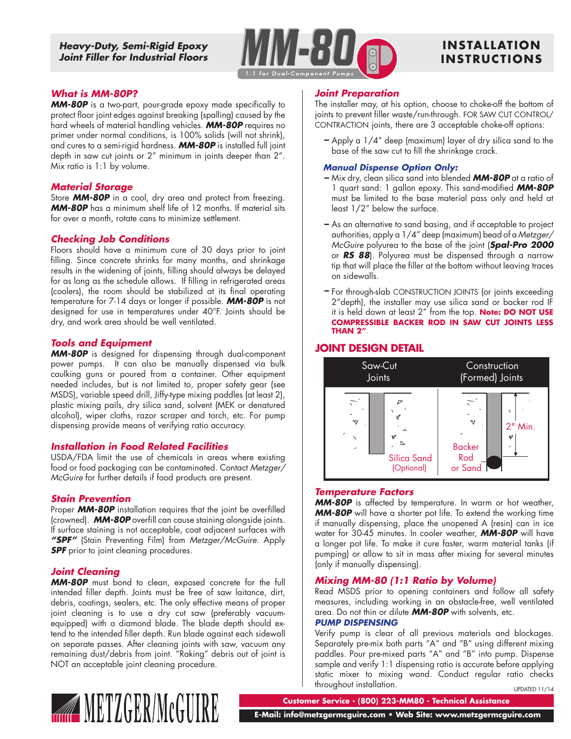*Heavy-Duty, Semi-Rigid Epoxy Joint Filler for Industrial Floors*



# **INS TALLAT ION INSTRUCTIONS**

### *What is MM-80P?*

*MM-80P* is a two-part, pour-grade epoxy made specifically to protect floor joint edges against breaking (spalling) caused by the hard wheels of material handling vehicles. *MM-80P* requires no primer under normal conditions, is 100% solids (will not shrink), and cures to a semi-rigid hardness. *MM-80P* is installed full joint depth in saw cut joints or 2" minimum in joints deeper than 2". Mix ratio is 1:1 by volume.

#### *Material Storage*

Store *MM-80P* in a cool, dry area and protect from freezing. *MM-80P* has a minimum shelf life of 12 months. If material sits for over a month, rotate cans to minimize settlement.

### *Checking Job Conditions*

Floors should have a minimum cure of 30 days prior to joint filling. Since concrete shrinks for many months, and shrinkage results in the widening of joints, filling should always be delayed for as long as the schedule allows. If filling in refrigerated areas (coolers), the room should be stabilized at its final operating temperature for 7-14 days or longer if possible. *MM-80P* is not designed for use in temperatures under 40°F. Joints should be dry, and work area should be well ventilated.

### *Tools and Equipment*

*MM-80P* is designed for dispensing through dual-component power pumps. It can also be manually dispensed via bulk caulking guns or poured from a container. Other equipment needed includes, but is not limited to, proper safety gear (see MSDS), variable speed drill, Jiffy-type mixing paddles (at least 2), plastic mixing pails, dry silica sand, solvent (MEK or denatured alcohol), wiper cloths, razor scraper and torch, etc. For pump dispensing provide means of verifying ratio accuracy.

### *Installation in Food Related Facilities*

USDA/FDA limit the use of chemicals in areas where existing food or food packaging can be contaminated. Contact *Metzger/ McGuire* for further details if food products are present.

### *Stain Prevention*

Proper *MM-80P* installation requires that the joint be overfilled (crowned). *MM-80P* overfill can cause staining alongside joints. If surface staining is not acceptable, coat adjacent surfaces with *"SPF"* (Stain Preventing Film) from *Metzger/McGuire*. Apply **SPF** prior to joint cleaning procedures.

### *Joint Cleaning*

*MM-80P* must bond to clean, exposed concrete for the full intended filler depth. Joints must be free of saw laitance, dirt, debris, coatings, sealers, etc. The only effective means of proper joint cleaning is to use a dry cut saw (preferably vacuumequipped) with a diamond blade. The blade depth should extend to the intended filler depth. Run blade against each sidewall on separate passes. After cleaning joints with saw, vacuum any remaining dust/debris from joint. "Raking" debris out of joint is NOT an acceptable joint cleaning procedure.

#### *Joint Preparation*

The installer may, at his option, choose to choke-off the bottom of joints to prevent filler waste/run-through. FOR SAW CUT CONTROL/ CONTRACTION joints, there are 3 acceptable choke-off options:

Apply a 1/4" deep (maximum) layer of dry silica sand to the **–**base of the saw cut to fill the shrinkage crack.

#### *Manual Dispense Option Only:*

- Mix dry, clean silica sand into blended *MM-80P* at a ratio of **–** 1 quart sand: 1 gallon epoxy. This sand-modified *MM-80P* must be limited to the base material pass only and held at least 1/2" below the surface.
- As an alternative to sand basing, and if acceptable to project **–** authorities, apply a 1/4" deep (maximum) bead of a *Metzger/ McGuire* polyurea to the base of the joint (*Spal-Pro 2000* or *RS 88*). Polyurea must be dispensed through a narrow tip that will place the filler at the bottom without leaving traces on sidewalls.
- For through-slab CONSTRUCTION JOINTS (or joints exceeding **–** 2"depth), the installer may use silica sand or backer rod IF it is held down at least 2" from the top. **Note: DO NOT USE COMPRESSIBLE BACKER ROD IN SAW CUT JOINTS LESS THAN 2"**.

# **JOINT DESIGN DETAIL**



### *Temperature Factors*

*MM-80P* is affected by temperature. In warm or hot weather, *MM-80P* will have a shorter pot life. To extend the working time if manually dispensing, place the unopened A (resin) can in ice water for 30-45 minutes. In cooler weather, *MM-80P* will have a longer pot life. To make it cure faster, warm material tanks (if pumping) or allow to sit in mass after mixing for several minutes (only if manually dispensing).

### *Mixing MM-80 (1:1 Ratio by Volume)*

Read MSDS prior to opening containers and follow all safety measures, including working in an obstacle-free, well ventilated area. Do not thin or dilute *MM-80P* with solvents, etc.

#### *PUMP DISPENSING*

UPDATED 11/14 Verify pump is clear of all previous materials and blockages. Separately pre-mix both parts "A" and "B" using different mixing paddles. Pour pre-mixed parts "A" and "B" into pump. Dispense sample and verify 1:1 dispensing ratio is accurate before applying static mixer to mixing wand. Conduct regular ratio checks throughout installation.



**Customer Service - (800) 223-MM80 - Technical Assistance**

 **E-Mail: info@metzgermcguire.com • Web Site: www.metzgermcguire.com**